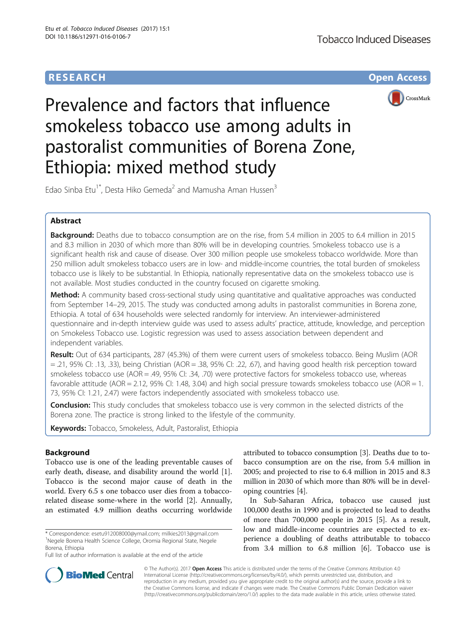# **RESEARCH CHE Open Access**



Prevalence and factors that influence smokeless tobacco use among adults in pastoralist communities of Borena Zone, Ethiopia: mixed method study

Edao Sinba Etu<sup>1\*</sup>, Desta Hiko Gemeda<sup>2</sup> and Mamusha Aman Hussen<sup>3</sup>

## Abstract

Background: Deaths due to tobacco consumption are on the rise, from 5.4 million in 2005 to 6.4 million in 2015 and 8.3 million in 2030 of which more than 80% will be in developing countries. Smokeless tobacco use is a significant health risk and cause of disease. Over 300 million people use smokeless tobacco worldwide. More than 250 million adult smokeless tobacco users are in low- and middle-income countries, the total burden of smokeless tobacco use is likely to be substantial. In Ethiopia, nationally representative data on the smokeless tobacco use is not available. Most studies conducted in the country focused on cigarette smoking.

Method: A community based cross-sectional study using quantitative and qualitative approaches was conducted from September 14–29, 2015. The study was conducted among adults in pastoralist communities in Borena zone, Ethiopia. A total of 634 households were selected randomly for interview. An interviewer-administered questionnaire and in-depth interview guide was used to assess adults' practice, attitude, knowledge, and perception on Smokeless Tobacco use. Logistic regression was used to assess association between dependent and independent variables.

**Result:** Out of 634 participants, 287 (45.3%) of them were current users of smokeless tobacco. Being Muslim (AOR = .21, 95% CI: .13, .33), being Christian (AOR = .38, 95% CI: .22, .67), and having good health risk perception toward smokeless tobacco use (AOR = .49, 95% Cl: .34, .70) were protective factors for smokeless tobacco use, whereas favorable attitude (AOR = 2.12, 95% CI: 1.48, 3.04) and high social pressure towards smokeless tobacco use (AOR = 1. 73, 95% CI: 1.21, 2.47) were factors independently associated with smokeless tobacco use.

**Conclusion:** This study concludes that smokeless tobacco use is very common in the selected districts of the Borena zone. The practice is strong linked to the lifestyle of the community.

Keywords: Tobacco, Smokeless, Adult, Pastoralist, Ethiopia

## Background

Tobacco use is one of the leading preventable causes of early death, disease, and disability around the world [\[1](#page-10-0)]. Tobacco is the second major cause of death in the world. Every 6.5 s one tobacco user dies from a tobaccorelated disease some-where in the world [[2\]](#page-10-0). Annually, an estimated 4.9 million deaths occurring worldwide

\* Correspondence: [esetu912008000@ymail.com;](mailto:esetu912008000@ymail.com) [milkies2013@gmail.com](mailto:milkies2013@gmail.com) <sup>1</sup> Negele Borena Health Science College, Oromia Regional State, Negele Borena, Ethiopia

Full list of author information is available at the end of the article

attributed to tobacco consumption [\[3](#page-10-0)]. Deaths due to tobacco consumption are on the rise, from 5.4 million in 2005; and projected to rise to 6.4 million in 2015 and 8.3 million in 2030 of which more than 80% will be in developing countries [[4\]](#page-10-0).

In Sub-Saharan Africa, tobacco use caused just 100,000 deaths in 1990 and is projected to lead to deaths of more than 700,000 people in 2015 [\[5\]](#page-10-0). As a result, low and middle-income countries are expected to experience a doubling of deaths attributable to tobacco from 3.4 million to 6.8 million [[6\]](#page-10-0). Tobacco use is



© The Author(s). 2017 **Open Access** This article is distributed under the terms of the Creative Commons Attribution 4.0 International License [\(http://creativecommons.org/licenses/by/4.0/](http://creativecommons.org/licenses/by/4.0/)), which permits unrestricted use, distribution, and reproduction in any medium, provided you give appropriate credit to the original author(s) and the source, provide a link to the Creative Commons license, and indicate if changes were made. The Creative Commons Public Domain Dedication waiver [\(http://creativecommons.org/publicdomain/zero/1.0/](http://creativecommons.org/publicdomain/zero/1.0/)) applies to the data made available in this article, unless otherwise stated.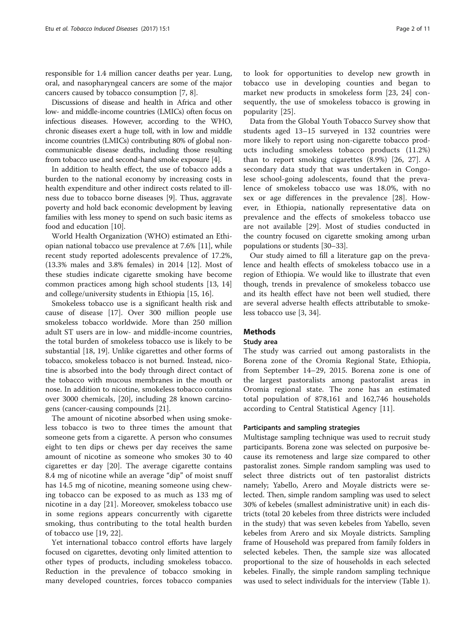responsible for 1.4 million cancer deaths per year. Lung, oral, and nasopharyngeal cancers are some of the major cancers caused by tobacco consumption [\[7](#page-10-0), [8](#page-10-0)].

Discussions of disease and health in Africa and other low- and middle-income countries (LMICs) often focus on infectious diseases. However, according to the WHO, chronic diseases exert a huge toll, with in low and middle income countries (LMICs) contributing 80% of global noncommunicable disease deaths, including those resulting from tobacco use and second-hand smoke exposure [[4](#page-10-0)].

In addition to health effect, the use of tobacco adds a burden to the national economy by increasing costs in health expenditure and other indirect costs related to illness due to tobacco borne diseases [\[9](#page-10-0)]. Thus, aggravate poverty and hold back economic development by leaving families with less money to spend on such basic items as food and education [\[10\]](#page-10-0).

World Health Organization (WHO) estimated an Ethiopian national tobacco use prevalence at 7.6% [[11\]](#page-10-0), while recent study reported adolescents prevalence of 17.2%, (13.3% males and 3.8% females) in 2014 [\[12\]](#page-10-0). Most of these studies indicate cigarette smoking have become common practices among high school students [[13, 14](#page-10-0)] and college/university students in Ethiopia [\[15](#page-10-0), [16\]](#page-10-0).

Smokeless tobacco use is a significant health risk and cause of disease [\[17](#page-10-0)]. Over 300 million people use smokeless tobacco worldwide. More than 250 million adult ST users are in low- and middle-income countries, the total burden of smokeless tobacco use is likely to be substantial [[18, 19\]](#page-10-0). Unlike cigarettes and other forms of tobacco, smokeless tobacco is not burned. Instead, nicotine is absorbed into the body through direct contact of the tobacco with mucous membranes in the mouth or nose. In addition to nicotine, smokeless tobacco contains over 3000 chemicals, [[20\]](#page-10-0), including 28 known carcinogens (cancer-causing compounds [\[21](#page-10-0)].

The amount of nicotine absorbed when using smokeless tobacco is two to three times the amount that someone gets from a cigarette. A person who consumes eight to ten dips or chews per day receives the same amount of nicotine as someone who smokes 30 to 40 cigarettes er day [[20](#page-10-0)]. The average cigarette contains 8.4 mg of nicotine while an average "dip" of moist snuff has 14.5 mg of nicotine, meaning someone using chewing tobacco can be exposed to as much as 133 mg of nicotine in a day [[21\]](#page-10-0). Moreover, smokeless tobacco use in some regions appears concurrently with cigarette smoking, thus contributing to the total health burden of tobacco use [[19](#page-10-0), [22](#page-10-0)].

Yet international tobacco control efforts have largely focused on cigarettes, devoting only limited attention to other types of products, including smokeless tobacco. Reduction in the prevalence of tobacco smoking in many developed countries, forces tobacco companies

to look for opportunities to develop new growth in tobacco use in developing counties and began to market new products in smokeless form [[23, 24](#page-10-0)] consequently, the use of smokeless tobacco is growing in popularity [\[25](#page-10-0)].

Data from the Global Youth Tobacco Survey show that students aged 13–15 surveyed in 132 countries were more likely to report using non-cigarette tobacco products including smokeless tobacco products (11.2%) than to report smoking cigarettes (8.9%) [\[26](#page-10-0), [27\]](#page-10-0). A secondary data study that was undertaken in Congolese school-going adolescents, found that the prevalence of smokeless tobacco use was 18.0%, with no sex or age differences in the prevalence [[28](#page-10-0)]. However, in Ethiopia, nationally representative data on prevalence and the effects of smokeless tobacco use are not available [\[29](#page-10-0)]. Most of studies conducted in the country focused on cigarette smoking among urban populations or students [[30](#page-10-0)–[33\]](#page-10-0).

Our study aimed to fill a literature gap on the prevalence and health effects of smokeless tobacco use in a region of Ethiopia. We would like to illustrate that even though, trends in prevalence of smokeless tobacco use and its health effect have not been well studied, there are several adverse health effects attributable to smokeless tobacco use [\[3](#page-10-0), [34](#page-10-0)].

## Methods

### Study area

The study was carried out among pastoralists in the Borena zone of the Oromia Regional State, Ethiopia, from September 14–29, 2015. Borena zone is one of the largest pastoralists among pastoralist areas in Oromia regional state. The zone has an estimated total population of 878,161 and 162,746 households according to Central Statistical Agency [[11\]](#page-10-0).

### Participants and sampling strategies

Multistage sampling technique was used to recruit study participants. Borena zone was selected on purposive because its remoteness and large size compared to other pastoralist zones. Simple random sampling was used to select three districts out of ten pastoralist districts namely; Yabello, Arero and Moyale districts were selected. Then, simple random sampling was used to select 30% of kebeles (smallest administrative unit) in each districts (total 20 kebeles from three districts were included in the study) that was seven kebeles from Yabello, seven kebeles from Arero and six Moyale districts. Sampling frame of Household was prepared from family folders in selected kebeles. Then, the sample size was allocated proportional to the size of households in each selected kebeles. Finally, the simple random sampling technique was used to select individuals for the interview (Table [1\)](#page-3-0).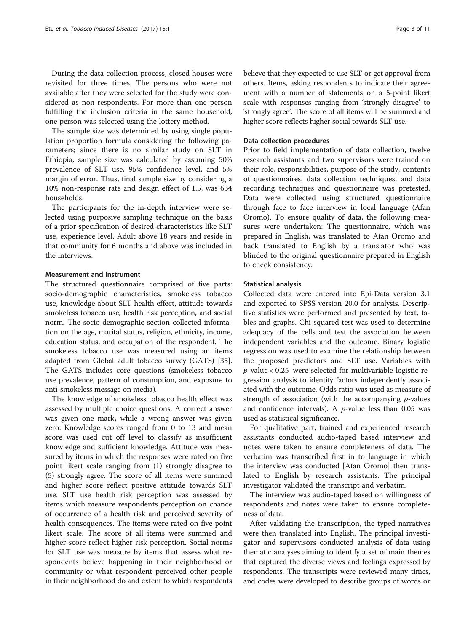During the data collection process, closed houses were revisited for three times. The persons who were not available after they were selected for the study were considered as non-respondents. For more than one person fulfilling the inclusion criteria in the same household, one person was selected using the lottery method.

The sample size was determined by using single population proportion formula considering the following parameters; since there is no similar study on SLT in Ethiopia, sample size was calculated by assuming 50% prevalence of SLT use, 95% confidence level, and 5% margin of error. Thus, final sample size by considering a 10% non-response rate and design effect of 1.5, was 634 households.

The participants for the in-depth interview were selected using purposive sampling technique on the basis of a prior specification of desired characteristics like SLT use, experience level. Adult above 18 years and reside in that community for 6 months and above was included in the interviews.

### Measurement and instrument

The structured questionnaire comprised of five parts: socio-demographic characteristics, smokeless tobacco use, knowledge about SLT health effect, attitude towards smokeless tobacco use, health risk perception, and social norm. The socio-demographic section collected information on the age, marital status, religion, ethnicity, income, education status, and occupation of the respondent. The smokeless tobacco use was measured using an items adapted from Global adult tobacco survey (GATS) [[35](#page-10-0)]. The GATS includes core questions (smokeless tobacco use prevalence, pattern of consumption, and exposure to anti-smokeless message on media).

The knowledge of smokeless tobacco health effect was assessed by multiple choice questions. A correct answer was given one mark, while a wrong answer was given zero. Knowledge scores ranged from 0 to 13 and mean score was used cut off level to classify as insufficient knowledge and sufficient knowledge. Attitude was measured by items in which the responses were rated on five point likert scale ranging from (1) strongly disagree to (5) strongly agree. The score of all items were summed and higher score reflect positive attitude towards SLT use. SLT use health risk perception was assessed by items which measure respondents perception on chance of occurrence of a health risk and perceived severity of health consequences. The items were rated on five point likert scale. The score of all items were summed and higher score reflect higher risk perception. Social norms for SLT use was measure by items that assess what respondents believe happening in their neighborhood or community or what respondent perceived other people in their neighborhood do and extent to which respondents

believe that they expected to use SLT or get approval from others. Items, asking respondents to indicate their agreement with a number of statements on a 5-point likert scale with responses ranging from 'strongly disagree' to 'strongly agree'. The score of all items will be summed and higher score reflects higher social towards SLT use.

### Data collection procedures

Prior to field implementation of data collection, twelve research assistants and two supervisors were trained on their role, responsibilities, purpose of the study, contents of questionnaires, data collection techniques, and data recording techniques and questionnaire was pretested. Data were collected using structured questionnaire through face to face interview in local language (Afan Oromo). To ensure quality of data, the following measures were undertaken: The questionnaire, which was prepared in English, was translated to Afan Oromo and back translated to English by a translator who was blinded to the original questionnaire prepared in English to check consistency.

### Statistical analysis

Collected data were entered into Epi-Data version 3.1 and exported to SPSS version 20.0 for analysis. Descriptive statistics were performed and presented by text, tables and graphs. Chi-squared test was used to determine adequacy of the cells and test the association between independent variables and the outcome. Binary logistic regression was used to examine the relationship between the proposed predictors and SLT use. Variables with  $p$ -value < 0.25 were selected for multivariable logistic regression analysis to identify factors independently associated with the outcome. Odds ratio was used as measure of strength of association (with the accompanying  $p$ -values and confidence intervals). A  $p$ -value less than 0.05 was used as statistical significance.

For qualitative part, trained and experienced research assistants conducted audio-taped based interview and notes were taken to ensure completeness of data. The verbatim was transcribed first in to language in which the interview was conducted [Afan Oromo] then translated to English by research assistants. The principal investigator validated the transcript and verbatim.

The interview was audio-taped based on willingness of respondents and notes were taken to ensure completeness of data.

After validating the transcription, the typed narratives were then translated into English. The principal investigator and supervisors conducted analysis of data using thematic analyses aiming to identify a set of main themes that captured the diverse views and feelings expressed by respondents. The transcripts were reviewed many times, and codes were developed to describe groups of words or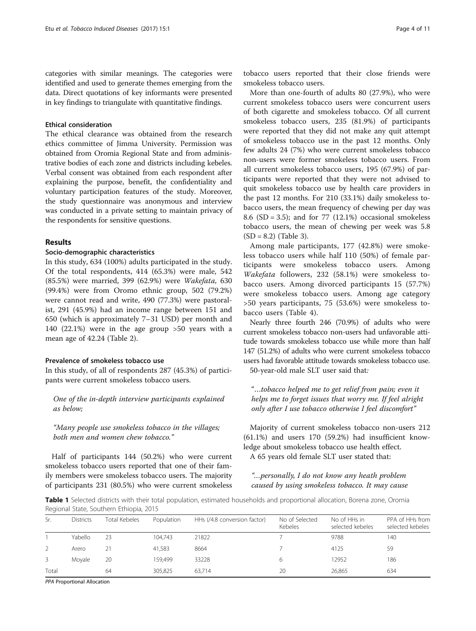<span id="page-3-0"></span>categories with similar meanings. The categories were identified and used to generate themes emerging from the data. Direct quotations of key informants were presented in key findings to triangulate with quantitative findings.

## Ethical consideration

The ethical clearance was obtained from the research ethics committee of Jimma University. Permission was obtained from Oromia Regional State and from administrative bodies of each zone and districts including kebeles. Verbal consent was obtained from each respondent after explaining the purpose, benefit, the confidentiality and voluntary participation features of the study. Moreover, the study questionnaire was anonymous and interview was conducted in a private setting to maintain privacy of the respondents for sensitive questions.

### Results

## Socio-demographic characteristics

In this study, 634 (100%) adults participated in the study. Of the total respondents, 414 (65.3%) were male, 542 (85.5%) were married, 399 (62.9%) were Wakefata, 630 (99.4%) were from Oromo ethnic group, 502 (79.2%) were cannot read and write, 490 (77.3%) were pastoralist, 291 (45.9%) had an income range between 151 and 650 (which is approximately 7–31 USD) per month and 140 (22.1%) were in the age group >50 years with a mean age of 42.24 (Table [2](#page-4-0)).

## Prevalence of smokeless tobacco use

In this study, of all of respondents 287 (45.3%) of participants were current smokeless tobacco users.

One of the in-depth interview participants explained as below;

"Many people use smokeless tobacco in the villages; both men and women chew tobacco."

Half of participants 144 (50.2%) who were current smokeless tobacco users reported that one of their family members were smokeless tobacco users. The majority of participants 231 (80.5%) who were current smokeless

tobacco users reported that their close friends were smokeless tobacco users.

More than one-fourth of adults 80 (27.9%), who were current smokeless tobacco users were concurrent users of both cigarette and smokeless tobacco. Of all current smokeless tobacco users, 235 (81.9%) of participants were reported that they did not make any quit attempt of smokeless tobacco use in the past 12 months. Only few adults 24 (7%) who were current smokeless tobacco non-users were former smokeless tobacco users. From all current smokeless tobacco users, 195 (67.9%) of participants were reported that they were not advised to quit smokeless tobacco use by health care providers in the past 12 months. For 210 (33.1%) daily smokeless tobacco users, the mean frequency of chewing per day was 8.6 (SD = 3.5); and for 77 (12.1%) occasional smokeless tobacco users, the mean of chewing per week was 5.8  $(SD = 8.2)$  (Table [3\)](#page-5-0).

Among male participants, 177 (42.8%) were smokeless tobacco users while half 110 (50%) of female participants were smokeless tobacco users. Among Wakefata followers, 232 (58.1%) were smokeless tobacco users. Among divorced participants 15 (57.7%) were smokeless tobacco users. Among age category >50 years participants, 75 (53.6%) were smokeless tobacco users (Table [4\)](#page-6-0).

Nearly three fourth 246 (70.9%) of adults who were current smokeless tobacco non-users had unfavorable attitude towards smokeless tobacco use while more than half 147 (51.2%) of adults who were current smokeless tobacco users had favorable attitude towards smokeless tobacco use. 50-year-old male SLT user said that:

"…tobacco helped me to get relief from pain; even it helps me to forget issues that worry me. If feel alright only after I use tobacco otherwise I feel discomfort"

Majority of current smokeless tobacco non-users 212 (61.1%) and users 170 (59.2%) had insufficient knowledge about smokeless tobacco use health effect. A 65 years old female SLT user stated that:

"…personally, I do not know any heath problem caused by using smokeless tobacco. It may cause

Table 1 Selected districts with their total population, estimated households and proportional allocation, Borena zone, Oromia Regional State, Southern Ethiopia, 2015

| Sr.   | <b>Districts</b> | <b>Total Kebeles</b> | Population | HHs (/4.8 conversion factor) | No of Selected<br>Kebeles | No of HHs in<br>selected kebeles | PPA of HHs from<br>selected kebeles |
|-------|------------------|----------------------|------------|------------------------------|---------------------------|----------------------------------|-------------------------------------|
|       | Yabello          | 23                   | 104.743    | 21822                        |                           | 9788                             | 140                                 |
|       | Arero            | 21                   | 41.583     | 8664                         |                           | 4125                             | 59                                  |
|       | Movale           | 20                   | 159.499    | 33228                        |                           | 12952                            | 186                                 |
| Total |                  | 64                   | 305.825    | 63.714                       | 20                        | 26,865                           | 634                                 |

PPA Proportional Allocation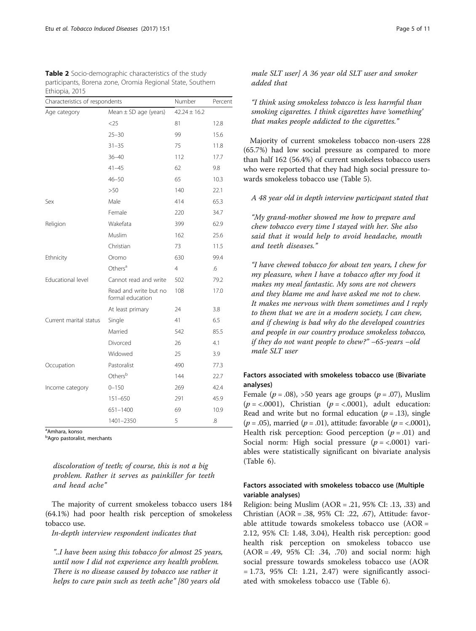<span id="page-4-0"></span>

| <b>Table 2</b> Socio-demographic characteristics of the study |
|---------------------------------------------------------------|
| participants, Borena zone, Oromia Regional State, Southern    |
| Ethiopia, 2015                                                |

| Characteristics of respondents | Number                                    | Percent          |      |
|--------------------------------|-------------------------------------------|------------------|------|
| Age category                   | Mean $\pm$ SD age (years)                 | $42.24 \pm 16.2$ |      |
|                                | $<$ 25                                    | 81               | 12.8 |
|                                | $25 - 30$                                 | 99               | 15.6 |
|                                | $31 - 35$                                 | 75               | 11.8 |
|                                | $36 - 40$                                 | 112              | 17.7 |
|                                | $41 - 45$                                 | 62               | 9.8  |
|                                | $46 - 50$                                 | 65               | 10.3 |
|                                | >50                                       | 140              | 22.1 |
| Sex                            | Male                                      | 414              | 65.3 |
|                                | Female                                    | 220              | 34.7 |
| Religion                       | Wakefata                                  | 399              | 62.9 |
|                                | Muslim                                    | 162              | 25.6 |
|                                | Christian                                 | 73               | 11.5 |
| Ethnicity                      | Oromo                                     | 630              | 99.4 |
|                                | Others <sup>a</sup>                       | $\overline{4}$   | .6   |
| Educational level              | Cannot read and write                     | 502              | 79.2 |
|                                | Read and write but no<br>formal education | 108              | 17.0 |
|                                | At least primary                          | 24               | 3.8  |
| Current marital status         | Single                                    | 41               | 6.5  |
|                                | Married                                   | 542              | 85.5 |
|                                | <b>Divorced</b>                           | 26               | 4.1  |
|                                | Widowed                                   | 25               | 3.9  |
| Occupation                     | Pastoralist                               | 490              | 77.3 |
|                                | Othersb                                   | 144              | 22.7 |
| Income category                | $0 - 150$                                 | 269              | 42.4 |
|                                | 151-650                                   | 291              | 45.9 |
|                                | 651-1400                                  | 69               | 10.9 |
|                                | 1401-2350                                 | 5                | .8   |

<sup>a</sup>Amhara, konso

<sup>b</sup>Agro pastoralist, merchants

discoloration of teeth; of course, this is not a big problem. Rather it serves as painkiller for teeth and head ache"

The majority of current smokeless tobacco users 184 (64.1%) had poor health risk perception of smokeless tobacco use.

In-depth interview respondent indicates that

"..I have been using this tobacco for almost 25 years, until now I did not experience any health problem. There is no disease caused by tobacco use rather it helps to cure pain such as teeth ache" [80 years old

male SLT user] A 36 year old SLT user and smoker added that

"I think using smokeless tobacco is less harmful than smoking cigarettes. I think cigarettes have 'something' that makes people addicted to the cigarettes."

Majority of current smokeless tobacco non-users 228 (65.7%) had low social pressure as compared to more than half 162 (56.4%) of current smokeless tobacco users who were reported that they had high social pressure towards smokeless tobacco use (Table [5\)](#page-7-0).

## A 48 year old in depth interview participant stated that

"My grand-mother showed me how to prepare and chew tobacco every time I stayed with her. She also said that it would help to avoid headache, mouth and teeth diseases."

"I have chewed tobacco for about ten years, I chew for my pleasure, when I have a tobacco after my food it makes my meal fantastic. My sons are not chewers and they blame me and have asked me not to chew. It makes me nervous with them sometimes and I reply to them that we are in a modern society, I can chew, and if chewing is bad why do the developed countries and people in our country produce smokeless tobacco, if they do not want people to chew?" –65-years –old male SLT user

## Factors associated with smokeless tobacco use (Bivariate analyses)

Female ( $p = .08$ ), >50 years age groups ( $p = .07$ ), Muslim ( $p = <.0001$ ), Christian ( $p = <.0001$ ), adult education: Read and write but no formal education  $(p = .13)$ , single ( $p = .05$ ), married ( $p = .01$ ), attitude: favorable ( $p = < .0001$ ), Health risk perception: Good perception  $(p = .01)$  and Social norm: High social pressure  $(p = < .0001)$  variables were statistically significant on bivariate analysis (Table [6\)](#page-8-0).

## Factors associated with smokeless tobacco use (Multiple variable analyses)

Religion: being Muslim (AOR = .21, 95% CI: .13, .33) and Christian (AOR = .38, 95% CI: .22, .67), Attitude: favorable attitude towards smokeless tobacco use (AOR = 2.12, 95% CI: 1.48, 3.04), Health risk perception: good health risk perception on smokeless tobacco use (AOR = .49, 95% CI: .34, .70) and social norm: high social pressure towards smokeless tobacco use (AOR  $= 1.73$ , 95% CI: 1.21, 2.47) were significantly associated with smokeless tobacco use (Table [6\)](#page-8-0).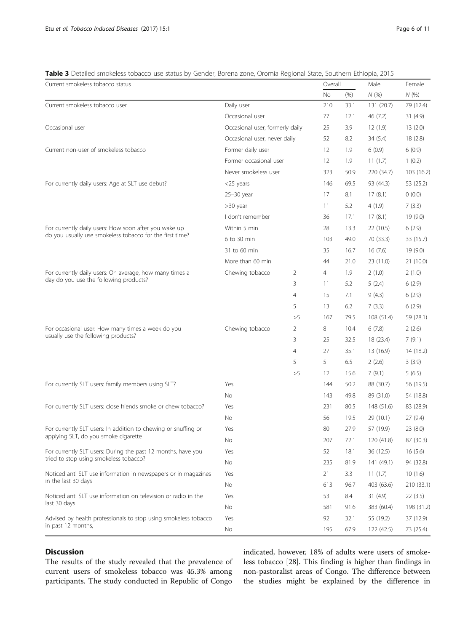### <span id="page-5-0"></span>Table 3 Detailed smokeless tobacco use status by Gender, Borena zone, Oromia Regional State, Southern Ethiopia, 2015

| Current smokeless tobacco status                                                      |                                 |                | Overall           |      | Male       | Female     |
|---------------------------------------------------------------------------------------|---------------------------------|----------------|-------------------|------|------------|------------|
|                                                                                       |                                 |                | No                | (% ) | N(%        | N(%)       |
| Current smokeless tobacco user                                                        | Daily user                      |                | 210               | 33.1 | 131 (20.7) | 79 (12.4)  |
|                                                                                       | Occasional user                 |                | 77                | 12.1 | 46 (7.2)   | 31(4.9)    |
| Occasional user                                                                       | Occasional user, formerly daily |                | 25                | 3.9  | 12(1.9)    | 13(2.0)    |
|                                                                                       | Occasional user, never daily    |                | 52                | 8.2  | 34(5.4)    | 18(2.8)    |
| Current non-user of smokeless tobacco                                                 | Former daily user               |                | 12                | 1.9  | 6(0.9)     | 6(0.9)     |
|                                                                                       | Former occasional user          |                | $12 \overline{ }$ | 1.9  | 11(1.7)    | 1(0.2)     |
|                                                                                       | Never smokeless user            |                | 323               | 50.9 | 220 (34.7) | 103(16.2)  |
| For currently daily users: Age at SLT use debut?                                      | <25 years                       |                | 146               | 69.5 | 93 (44.3)  | 53 (25.2)  |
|                                                                                       | 25-30 year                      |                | 17                | 8.1  | 17(8.1)    | 0(0.0)     |
|                                                                                       | $>30$ year                      |                | 11                | 5.2  | 4(1.9)     | 7(3.3)     |
|                                                                                       | I don't remember                |                | 36                | 17.1 | 17(8.1)    | 19 (9.0)   |
| For currently daily users: How soon after you wake up                                 | Within 5 min                    |                | 28                | 13.3 | 22 (10.5)  | 6(2.9)     |
| do you usually use smokeless tobacco for the first time?                              | 6 to 30 min                     |                | 103               | 49.0 | 70 (33.3)  | 33 (15.7)  |
|                                                                                       | 31 to 60 min                    |                | 35                | 16.7 | 16(7.6)    | 19(9.0)    |
|                                                                                       | More than 60 min                |                | 44                | 21.0 | 23 (11.0)  | 21 (10.0)  |
| For currently daily users: On average, how many times a                               | Chewing tobacco                 | 2              | 4                 | 1.9  | 2(1.0)     | 2(1.0)     |
| day do you use the following products?                                                |                                 | 3              | 11                | 5.2  | 5(2.4)     | 6(2.9)     |
|                                                                                       |                                 | 4              | 15                | 7.1  | 9(4.3)     | 6(2.9)     |
|                                                                                       |                                 | 5              | 13                | 6.2  | 7(3.3)     | 6(2.9)     |
|                                                                                       |                                 | >5             | 167               | 79.5 | 108(51.4)  | 59 (28.1)  |
| For occasional user: How many times a week do you                                     | Chewing tobacco                 | 2              | 8                 | 10.4 | 6(7.8)     | 2(2.6)     |
| usually use the following products?                                                   |                                 | 3              | 25                | 32.5 | 18 (23.4)  | 7(9.1)     |
|                                                                                       |                                 | $\overline{4}$ | 27                | 35.1 | 13 (16.9)  | 14 (18.2)  |
|                                                                                       |                                 | 5              | 5                 | 6.5  | 2(2.6)     | 3(3.9)     |
|                                                                                       |                                 | >5             | 12                | 15.6 | 7(9.1)     | 5(6.5)     |
| For currently SLT users: family members using SLT?                                    | Yes                             |                | 144               | 50.2 | 88 (30.7)  | 56 (19.5)  |
|                                                                                       | <b>No</b>                       |                | 143               | 49.8 | 89 (31.0)  | 54 (18.8)  |
| For currently SLT users: close friends smoke or chew tobacco?                         | Yes                             |                | 231               | 80.5 | 148 (51.6) | 83 (28.9)  |
|                                                                                       | No                              |                | 56                | 19.5 | 29 (10.1)  | 27(9.4)    |
| For currently SLT users: In addition to chewing or snuffing or                        | Yes                             |                | 80                | 27.9 | 57 (19.9)  | 23(8.0)    |
| applying SLT, do you smoke cigarette                                                  | No                              |                | 207               | 72.1 | 120 (41.8) | 87 (30.3)  |
| For currently SLT users: During the past 12 months, have you                          | Yes                             |                | 52                | 18.1 | 36 (12.5)  | 16(5.6)    |
| tried to stop using smokeless tobacco?                                                | No                              |                | 235               | 81.9 | 141 (49.1) | 94 (32.8)  |
| Noticed anti SLT use information in newspapers or in magazines<br>in the last 30 days | Yes                             |                | 21                | 3.3  | 11(1.7)    | 10(1.6)    |
|                                                                                       | No                              |                | 613               | 96.7 | 403 (63.6) | 210 (33.1) |
| Noticed anti SLT use information on television or radio in the                        | Yes                             |                | 53                | 8.4  | 31(4.9)    | 22(3.5)    |
| last 30 days                                                                          | No                              |                | 581               | 91.6 | 383 (60.4) | 198 (31.2) |
| Advised by health professionals to stop using smokeless tobacco                       | Yes                             |                | 92                | 32.1 | 55 (19.2)  | 37 (12.9)  |
| in past 12 months,                                                                    | No                              |                | 195               | 67.9 | 122 (42.5) | 73 (25.4)  |

## Discussion

The results of the study revealed that the prevalence of current users of smokeless tobacco was 45.3% among participants. The study conducted in Republic of Congo

indicated, however, 18% of adults were users of smokeless tobacco [\[28\]](#page-10-0). This finding is higher than findings in non-pastoralist areas of Congo. The difference between the studies might be explained by the difference in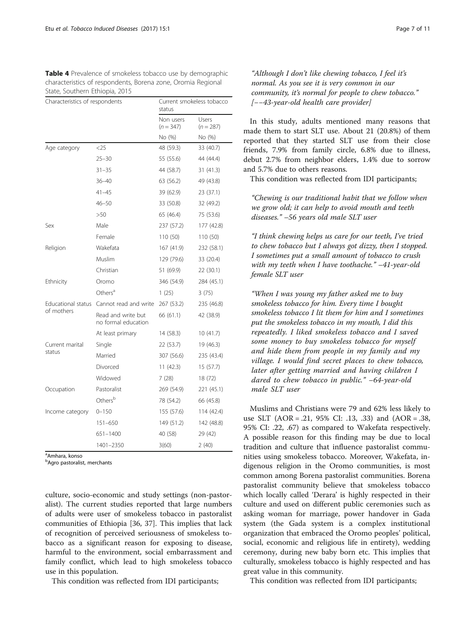<span id="page-6-0"></span>Table 4 Prevalence of smokeless tobacco use by demographic characteristics of respondents, Borena zone, Oromia Regional State, Southern Ethiopia, 2015

| Characteristics of respondents |                                           | Current smokeless tobacco<br>status |                                |  |  |
|--------------------------------|-------------------------------------------|-------------------------------------|--------------------------------|--|--|
|                                |                                           | Non users<br>$(n = 347)$            | Users<br>$(n = 287)$<br>No (%) |  |  |
|                                |                                           | No (%)                              |                                |  |  |
| Age category                   | $<$ 25                                    | 48 (59.3)                           | 33 (40.7)                      |  |  |
|                                | $25 - 30$                                 | 55 (55.6)                           | 44 (44.4)                      |  |  |
|                                | $31 - 35$                                 | 44 (58.7)                           | 31 (41.3)                      |  |  |
|                                | $36 - 40$                                 | 63 (56.2)                           | 49 (43.8)                      |  |  |
|                                | $41 - 45$                                 | 39 (62.9)                           | 23 (37.1)                      |  |  |
|                                | $46 - 50$                                 | 33 (50.8)                           | 32 (49.2)                      |  |  |
|                                | >50                                       | 65 (46.4)                           | 75 (53.6)                      |  |  |
| Sex                            | Male                                      | 237 (57.2)                          | 177 (42.8)                     |  |  |
|                                | Female                                    | 110 (50)                            | 110 (50)                       |  |  |
| Religion                       | Wakefata                                  | 167 (41.9)                          | 232 (58.1)                     |  |  |
|                                | Muslim                                    | 129 (79.6)                          | 33 (20.4)                      |  |  |
|                                | Christian                                 | 51 (69.9)                           | 22 (30.1)                      |  |  |
| Ethnicity                      | Oromo                                     | 346 (54.9)                          | 284 (45.1)                     |  |  |
|                                | Others <sup>a</sup>                       | 1(25)                               | 3(75)                          |  |  |
| Educational status             | Cannot read and write                     | 267 (53.2)                          | 235 (46.8)                     |  |  |
| of mothers                     | Read and write but<br>no formal education | 66 (61.1)                           | 42 (38.9)                      |  |  |
|                                | At least primary                          | 14 (58.3)                           | 10(41.7)                       |  |  |
| Current marital                | Single                                    | 22 (53.7)                           | 19 (46.3)                      |  |  |
| status                         | Married                                   | 307 (56.6)                          | 235 (43.4)                     |  |  |
|                                | Divorced                                  | 11(42.3)                            | 15(57.7)                       |  |  |
|                                | Widowed                                   | 7(28)                               | 18 (72)                        |  |  |
| Occupation                     | Pastoralist                               | 269 (54.9)                          | 221 (45.1)                     |  |  |
|                                | Othersb                                   | 78 (54.2)                           | 66 (45.8)                      |  |  |
| Income category                | $0 - 150$                                 | 155 (57.6)                          | 114 (42.4)                     |  |  |
|                                | 151-650                                   | 149 (51.2)                          | 142 (48.8)                     |  |  |
|                                | 651-1400                                  | 40 (58)                             | 29 (42)                        |  |  |
|                                | 1401-2350                                 | 3(60)                               | 2(40)                          |  |  |

<sup>a</sup>Amhara, konso

<sup>b</sup>Agro pastoralist, merchants

culture, socio-economic and study settings (non-pastoralist). The current studies reported that large numbers of adults were user of smokeless tobacco in pastoralist communities of Ethiopia [[36](#page-10-0), [37](#page-10-0)]. This implies that lack of recognition of perceived seriousness of smokeless tobacco as a significant reason for exposing to disease, harmful to the environment, social embarrassment and family conflict, which lead to high smokeless tobacco use in this population.

This condition was reflected from IDI participants;

"Although I don't like chewing tobacco, I feel it's normal. As you see it is very common in our community, it's normal for people to chew tobacco." [−−43-year-old health care provider]

In this study, adults mentioned many reasons that made them to start SLT use. About 21 (20.8%) of them reported that they started SLT use from their close friends, 7.9% from family circle, 6.8% due to illness, debut 2.7% from neighbor elders, 1.4% due to sorrow and 5.7% due to others reasons.

This condition was reflected from IDI participants;

"Chewing is our traditional habit that we follow when we grow old; it can help to avoid mouth and teeth diseases." –56 years old male SLT user

"I think chewing helps us care for our teeth, I've tried to chew tobacco but I always got dizzy, then I stopped. I sometimes put a small amount of tobacco to crush with my teeth when I have toothache." -41-year-old female SLT user

"When I was young my father asked me to buy smokeless tobacco for him. Every time I bought smokeless tobacco I lit them for him and I sometimes put the smokeless tobacco in my mouth, I did this repeatedly. I liked smokeless tobacco and I saved some money to buy smokeless tobacco for myself and hide them from people in my family and my village. I would find secret places to chew tobacco, later after getting married and having children I dared to chew tobacco in public." –64-year-old male SLT user

Muslims and Christians were 79 and 62% less likely to use SLT (AOR = .21, 95% CI: .13, .33) and (AOR = .38, 95% CI: .22, .67) as compared to Wakefata respectively. A possible reason for this finding may be due to local tradition and culture that influence pastoralist communities using smokeless tobacco. Moreover, Wakefata, indigenous religion in the Oromo communities, is most common among Borena pastoralist communities. Borena pastoralist community believe that smokeless tobacco which locally called 'Derara' is highly respected in their culture and used on different public ceremonies such as asking woman for marriage, power handover in Gada system (the Gada system is a complex institutional organization that embraced the Oromo peoples' political, social, economic and religious life in entirety), wedding ceremony, during new baby born etc. This implies that culturally, smokeless tobacco is highly respected and has great value in this community.

This condition was reflected from IDI participants;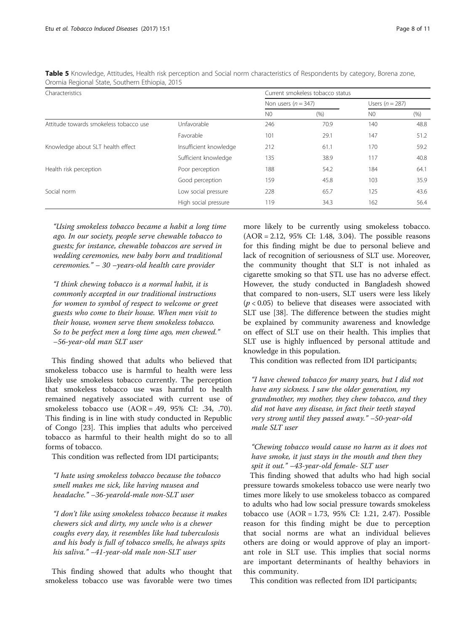| Characteristics                        | Current smokeless tobacco status |                       |      |                   |      |
|----------------------------------------|----------------------------------|-----------------------|------|-------------------|------|
|                                        |                                  | Non users $(n = 347)$ |      | Users $(n = 287)$ |      |
|                                        |                                  | N <sub>0</sub>        | (% ) | N <sub>0</sub>    | (% ) |
| Attitude towards smokeless tobacco use | Unfavorable                      | 246                   | 70.9 | 140               | 48.8 |
|                                        | Favorable                        | 101                   | 29.1 | 147               | 51.2 |
| Knowledge about SLT health effect      | Insufficient knowledge           | 212                   | 61.1 | 170               | 59.2 |
|                                        | Sufficient knowledge             | 135                   | 38.9 | 117               | 40.8 |
| Health risk perception                 | Poor perception                  | 188                   | 54.2 | 184               | 64.1 |
|                                        | Good perception                  | 159                   | 45.8 | 103               | 35.9 |
| Social norm                            | Low social pressure              | 228                   | 65.7 | 125               | 43.6 |
|                                        | High social pressure             | 119                   | 34.3 | 162               | 56.4 |

<span id="page-7-0"></span>Table 5 Knowledge, Attitudes, Health risk perception and Social norm characteristics of Respondents by category, Borena zone, Oromia Regional State, Southern Ethiopia, 2015

"Using smokeless tobacco became a habit a long time ago. In our society, people serve chewable tobacco to guests; for instance, chewable tobaccos are served in wedding ceremonies, new baby born and traditional ceremonies." – 30 –years-old health care provider

"I think chewing tobacco is a normal habit, it is commonly accepted in our traditional instructions for women to symbol of respect to welcome or greet guests who come to their house. When men visit to their house, women serve them smokeless tobacco. So to be perfect men a long time ago, men chewed." –56-year-old man SLT user

This finding showed that adults who believed that smokeless tobacco use is harmful to health were less likely use smokeless tobacco currently. The perception that smokeless tobacco use was harmful to health remained negatively associated with current use of smokeless tobacco use (AOR = .49, 95% CI: .34, .70). This finding is in line with study conducted in Republic of Congo [[23\]](#page-10-0). This implies that adults who perceived tobacco as harmful to their health might do so to all forms of tobacco.

This condition was reflected from IDI participants;

"I hate using smokeless tobacco because the tobacco smell makes me sick, like having nausea and headache." –36-yearold-male non-SLT user

"I don't like using smokeless tobacco because it makes chewers sick and dirty, my uncle who is a chewer coughs every day, it resembles like had tuberculosis and his body is full of tobacco smells, he always spits his saliva." –41-year-old male non-SLT user

This finding showed that adults who thought that smokeless tobacco use was favorable were two times more likely to be currently using smokeless tobacco. (AOR = 2.12, 95% CI: 1.48, 3.04). The possible reasons for this finding might be due to personal believe and lack of recognition of seriousness of SLT use. Moreover, the community thought that SLT is not inhaled as cigarette smoking so that STL use has no adverse effect. However, the study conducted in Bangladesh showed that compared to non-users, SLT users were less likely  $(p < 0.05)$  to believe that diseases were associated with SLT use [\[38](#page-10-0)]. The difference between the studies might be explained by community awareness and knowledge on effect of SLT use on their health. This implies that SLT use is highly influenced by personal attitude and knowledge in this population.

This condition was reflected from IDI participants;

"I have chewed tobacco for many years, but I did not have any sickness. I saw the older generation, my grandmother, my mother, they chew tobacco, and they did not have any disease, in fact their teeth stayed very strong until they passed away." –50-year-old male SLT user

"Chewing tobacco would cause no harm as it does not have smoke, it just stays in the mouth and then they spit it out." –43-year-old female- SLT user

This finding showed that adults who had high social pressure towards smokeless tobacco use were nearly two times more likely to use smokeless tobacco as compared to adults who had low social pressure towards smokeless tobacco use (AOR = 1.73, 95% CI: 1.21, 2.47). Possible reason for this finding might be due to perception that social norms are what an individual believes others are doing or would approve of play an important role in SLT use. This implies that social norms are important determinants of healthy behaviors in this community.

This condition was reflected from IDI participants;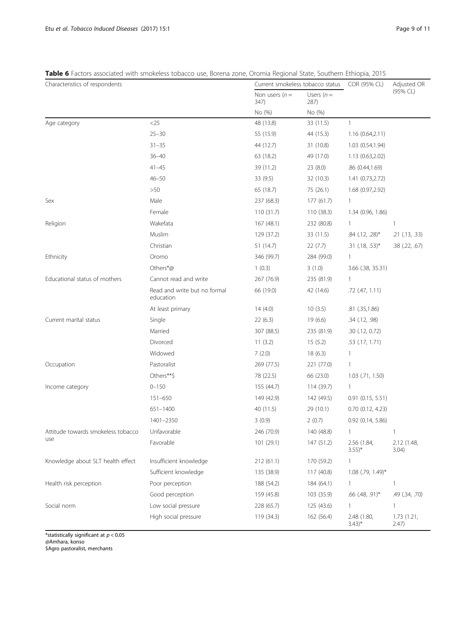## <span id="page-8-0"></span>Table 6 Factors associated with smokeless tobacco use, Borena zone, Oromia Regional State, Southern Ethiopia, 2015

| Characteristics of respondents     |                                           |                         | Current smokeless tobacco status |                                    | Adjusted OR          |
|------------------------------------|-------------------------------------------|-------------------------|----------------------------------|------------------------------------|----------------------|
|                                    |                                           | Non users $(n=$<br>347) | Users $(n =$<br>287)             |                                    | (95% CL)             |
|                                    |                                           | No (%)                  | No (%)                           |                                    |                      |
| Age category                       | $<$ 25                                    | 48 (13.8)               | 33 (11.5)                        | $\mathbf{1}$                       |                      |
|                                    | $25 - 30$                                 | 55 (15.9)               | 44 (15.3)                        | 1.16(0.64,2.11)                    |                      |
|                                    | $31 - 35$                                 | 44 (12.7)               | 31 (10.8)                        | 1.03 (0.54,1.94)                   |                      |
|                                    | $36 - 40$                                 | 63 (18.2)               | 49 (17.0)                        | 1.13 (0.63,2.02)                   |                      |
|                                    | $41 - 45$                                 | 39 (11.2)               | 23(8.0)                          | .86 (0.44,1.69)                    |                      |
|                                    | $46 - 50$                                 | 33 (9.5)                | 32 (10.3)                        | 1.41 (0.73,2.72)                   |                      |
|                                    | >50                                       | 65 (18.7)               | 75 (26.1)                        | 1.68 (0.97,2.92)                   |                      |
| Sex                                | Male                                      | 237 (68.3)              | 177(61.7)                        | $\mathbf{1}$                       |                      |
|                                    | Female                                    | 110(31.7)               | 110 (38.3)                       | 1.34 (0.96, 1.86)                  |                      |
| Religion                           | Wakefata                                  | 167(48.1)               | 232 (80.8)                       | $\mathbf{1}$                       | $\mathbf{1}$         |
|                                    | Muslim                                    | 129 (37.2)              | 33 (11.5)                        | $.84$ (.12, .28)*                  | $.21$ $(.13, .33)$   |
|                                    | Christian                                 | 51 (14.7)               | 22(7.7)                          | $.31$ (.18, .53)*                  | .38 (.22, .67)       |
| Ethnicity                          | Oromo                                     | 346 (99.7)              | 284 (99.0)                       | $\mathbf{1}$                       |                      |
|                                    | Others*@                                  | 1(0.3)                  | 3(1.0)                           | 3.66 (.38, 35.31)                  |                      |
| Educational status of mothers      | Cannot read and write                     | 267 (76.9)              | 235 (81.9)                       | $\mathbf{1}$                       |                      |
|                                    | Read and write but no formal<br>education | 66 (19.0)               | 42 (14.6)                        | .72 (.47, 1.11)                    |                      |
|                                    | At least primary                          | 14(4.0)                 | 10(3.5)                          | .81 (.35,1.86)                     |                      |
| Current marital status             | Single                                    | 22(6.3)                 | 19(6.6)                          | $.34$ $(.12, .98)$                 |                      |
|                                    | Married                                   | 307 (88.5)              | 235 (81.9)                       | .30(.12, 0.72)                     |                      |
|                                    | Divorced                                  | 11(3.2)                 | 15(5.2)                          | $.53$ (.17, 1.71)                  |                      |
|                                    | Widowed                                   | 7(2.0)                  | 18(6.3)                          | $\mathbf{1}$                       |                      |
| Occupation                         | Pastoralist                               | 269 (77.5)              | 221 (77.0)                       | 1                                  |                      |
|                                    | Others**\$                                | 78 (22.5)               | 66 (23.0)                        | $1.03$ (.71, 1.50)                 |                      |
| Income category                    | $0 - 150$                                 | 155 (44.7)              | 114 (39.7)                       | $\mathbf{1}$                       |                      |
|                                    | 151-650                                   | 149 (42.9)              | 142 (49.5)                       | 0.91(0.15, 5.51)                   |                      |
|                                    | 651-1400                                  | 40 (11.5)               | 29 (10.1)                        | 0.70(0.12, 4.23)                   |                      |
|                                    | 1401-2350                                 | 3(0.9)                  | 2(0.7)                           | $0.92$ (0.14, 5.86)                |                      |
| Attitude towards smokeless tobacco | Unfavorable                               | 246 (70.9)              | 140 (48.8)                       | $\mathbf{1}$                       | 1                    |
| use                                | Favorable                                 | 101 (29.1)              | 147 (51.2)                       | 2.56 (1.84,<br>$3.55$ <sup>*</sup> | 2.12 (1.48,<br>3.04) |
| Knowledge about SLT health effect  | Insufficient knowledge                    | 212(61.1)               | 170 (59.2)                       | $\mathbf{1}$                       |                      |
|                                    | Sufficient knowledge                      | 135 (38.9)              | 117 (40.8)                       | 1.08 (.79, 1.49)*                  |                      |
| Health risk perception             | Poor perception                           | 188 (54.2)              | 184 (64.1)                       | $\mathbf{1}$                       | $\mathbf{1}$         |
|                                    | Good perception                           | 159 (45.8)              | 103 (35.9)                       | $.66$ (.48, .91)*                  | .49 (.34, .70)       |
| Social norm                        | Low social pressure                       | 228 (65.7)              | 125 (43.6)                       | $\mathbf{1}$                       | 1                    |
|                                    | High social pressure                      | 119 (34.3)              | 162 (56.4)                       | 2.48 (1.80,<br>$(3.43)^*$          | 1.73 (1.21,<br>2.47) |

\*statistically significant at  $p < 0.05$ @Amhara, konso \$Agro pastoralist, merchants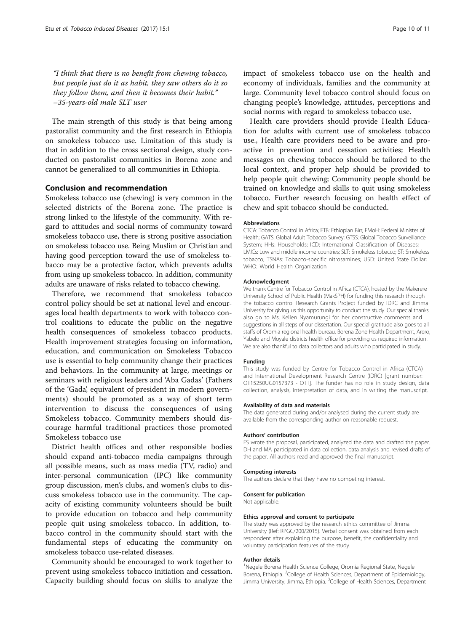"I think that there is no benefit from chewing tobacco, but people just do it as habit, they saw others do it so they follow them, and then it becomes their habit." –35-years-old male SLT user

The main strength of this study is that being among pastoralist community and the first research in Ethiopia on smokeless tobacco use. Limitation of this study is that in addition to the cross sectional design, study conducted on pastoralist communities in Borena zone and cannot be generalized to all communities in Ethiopia.

### Conclusion and recommendation

Smokeless tobacco use (chewing) is very common in the selected districts of the Borena zone. The practice is strong linked to the lifestyle of the community. With regard to attitudes and social norms of community toward smokeless tobacco use, there is strong positive association on smokeless tobacco use. Being Muslim or Christian and having good perception toward the use of smokeless tobacco may be a protective factor, which prevents adults from using up smokeless tobacco. In addition, community adults are unaware of risks related to tobacco chewing.

Therefore, we recommend that smokeless tobacco control policy should be set at national level and encourages local health departments to work with tobacco control coalitions to educate the public on the negative health consequences of smokeless tobacco products. Health improvement strategies focusing on information, education, and communication on Smokeless Tobacco use is essential to help community change their practices and behaviors. In the community at large, meetings or seminars with religious leaders and 'Aba Gadas' (Fathers of the 'Gada', equivalent of president in modern governments) should be promoted as a way of short term intervention to discuss the consequences of using Smokeless tobacco. Community members should discourage harmful traditional practices those promoted Smokeless tobacco use

District health offices and other responsible bodies should expand anti-tobacco media campaigns through all possible means, such as mass media (TV, radio) and inter-personal communication (IPC) like community group discussion, men's clubs, and women's clubs to discuss smokeless tobacco use in the community. The capacity of existing community volunteers should be built to provide education on tobacco and help community people quit using smokeless tobacco. In addition, tobacco control in the community should start with the fundamental steps of educating the community on smokeless tobacco use-related diseases.

Community should be encouraged to work together to prevent using smokeless tobacco initiation and cessation. Capacity building should focus on skills to analyze the

impact of smokeless tobacco use on the health and economy of individuals, families and the community at large. Community level tobacco control should focus on changing people's knowledge, attitudes, perceptions and social norms with regard to smokeless tobacco use.

Health care providers should provide Health Education for adults with current use of smokeless tobacco use., Health care providers need to be aware and proactive in prevention and cessation activities; Health messages on chewing tobacco should be tailored to the local context, and proper help should be provided to help people quit chewing; Community people should be trained on knowledge and skills to quit using smokeless tobacco. Further research focusing on health effect of chew and spit tobacco should be conducted.

#### Abbreviations

CTCA: Tobacco Control in Africa; ETB: Ethiopian Birr; FMoH: Federal Minister of Health; GATS: Global Adult Tobacco Survey; GTSS: Global Tobacco Surveillance System; HHs: Households; ICD: International Classification of Diseases; LMICs: Low and middle income countries; SLT: Smokeless tobacco; ST: Smokeless tobacco; TSNAs: Tobacco-specific nitrosamines; USD: United State Dollar; WHO: World Health Organization

#### Acknowledgment

We thank Centre for Tobacco Control in Africa (CTCA), hosted by the Makerere University School of Public Health (MakSPH) for funding this research through the tobacco control Research Grants Project funded by IDRC and Jimma University for giving us this opportunity to conduct the study. Our special thanks also go to Ms. Kellen Nyamurungi for her constructive comments and suggestions in all steps of our dissertation. Our special gratitude also goes to all staffs of Oromia regional health bureau, Borena Zone Health Department, Arero, Yabelo and Moyale districts health office for providing us required information. We are also thankful to data collectors and adults who participated in study.

### Funding

This study was funded by Centre for Tobacco Control in Africa (CTCA) and International Development Research Centre (IDRC) [grant number: OT15250UG0157373 - OTT]. The funder has no role in study design, data collection, analysis, interpretation of data, and in writing the manuscript.

#### Availability of data and materials

The data generated during and/or analysed during the current study are available from the corresponding author on reasonable request.

#### Authors' contribution

ES wrote the proposal, participated, analyzed the data and drafted the paper. DH and MA participated in data collection, data analysis and revised drafts of the paper. All authors read and approved the final manuscript.

#### Competing interests

The authors declare that they have no competing interest.

#### Consent for publication

Not applicable.

#### Ethics approval and consent to participate

The study was approved by the research ethics committee of Jimma University (Ref: RPGC/200/2015). Verbal consent was obtained from each respondent after explaining the purpose, benefit, the confidentiality and voluntary participation features of the study.

#### Author details

<sup>1</sup>Negele Borena Health Science College, Oromia Regional State, Negele Borena, Ethiopia. <sup>2</sup>College of Health Sciences, Department of Epidemiology Jimma University, Jimma, Ethiopia. <sup>3</sup>College of Health Sciences, Department